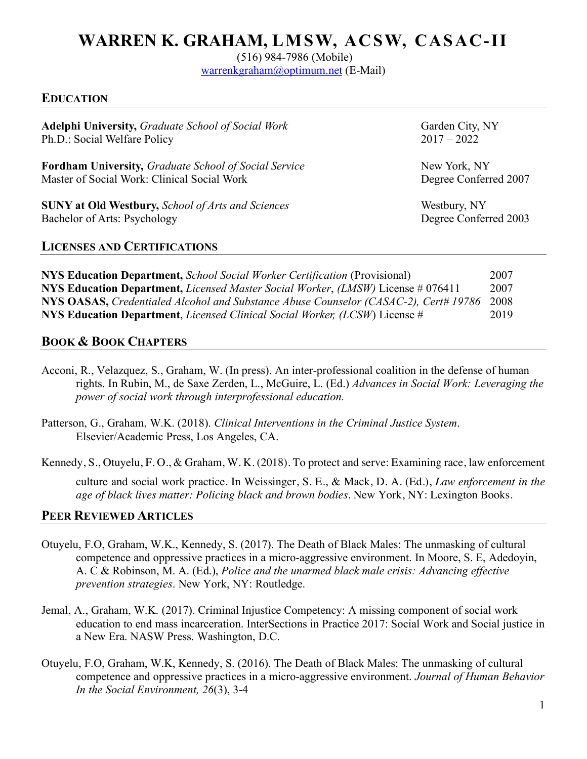# **WARREN K. GRAHAM, LMSW, ACSW, CASAC-II**

(516) 984-7986 (Mobile)

warrenkgraham@optimum.net (E-Mail)

#### **EDUCATION**

Adelphi University, *Graduate School of Social Work* Garden City, NY Ph.D.: Social Welfare Policy 2017 – 2022

**Fordham University,** *Graduate School of Social Service* New York, NY Master of Social Work: Clinical Social Work Degree Conferred 2007

**SUNY** at Old Westbury, *School of Arts and Sciences* Westbury, NY<br>Bachelor of Arts: Psychology Degree Conferred 2003 Bachelor of Arts: Psychology

#### **LICENSES AND CERTIFICATIONS**

**NYS Education Department,** *School Social Worker Certification* (Provisional) 2007 **NYS Education Department,** *Licensed Master Social Worker*, *(LMSW)* License # 076411 2007 **NYS OASAS,** *Credentialed Alcohol and Substance Abuse Counselor (CASAC-2), Cert# 19786* 2008 **NYS Education Department**, *Licensed Clinical Social Worker, (LCSW*) License # 2019

### **BOOK & BOOK CHAPTERS**

- Acconi, R., Velazquez, S., Graham, W. (In press). An inter-professional coalition in the defense of human rights. In Rubin, M., de Saxe Zerden, L., McGuire, L. (Ed.) *Advances in Social Work: Leveraging the power of social work through interprofessional education.*
- Patterson, G., Graham, W.K. (2018). *Clinical Interventions in the Criminal Justice System*. Elsevier/Academic Press, Los Angeles, CA.

Kennedy, S., Otuyelu, F. O., & Graham, W. K. (2018). To protect and serve: Examining race, law enforcement

culture and social work practice. In Weissinger, S. E., & Mack, D. A. (Ed.), *Law enforcement in the age of black lives matter: Policing black and brown bodies*. New York, NY: Lexington Books.

### **PEER REVIEWED ARTICLES**

- Otuyelu, F.O, Graham, W.K., Kennedy, S. (2017). The Death of Black Males: The unmasking of cultural competence and oppressive practices in a micro-aggressive environment. In Moore, S. E, Adedoyin, A. C & Robinson, M. A. (Ed.), *Police and the unarmed black male crisis: Advancing effective prevention strategies*. New York, NY: Routledge.
- Jemal, A., Graham, W.K. (2017). Criminal Injustice Competency: A missing component of social work education to end mass incarceration. InterSections in Practice 2017: Social Work and Social justice in a New Era. NASW Press. Washington, D.C.
- Otuyelu, F.O, Graham, W.K, Kennedy, S. (2016). The Death of Black Males: The unmasking of cultural competence and oppressive practices in a micro-aggressive environment. *Journal of Human Behavior In the Social Environment, 26*(3), 3-4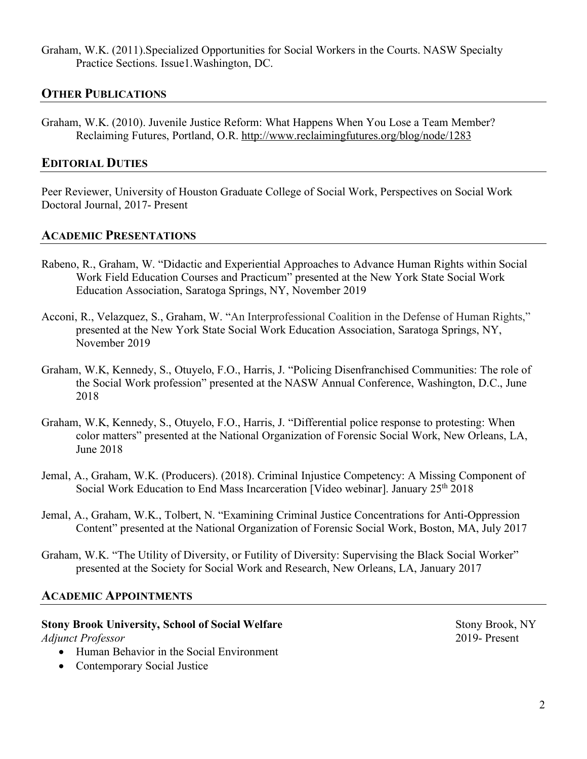Graham, W.K. (2011).Specialized Opportunities for Social Workers in the Courts. NASW Specialty Practice Sections. Issue1.Washington, DC.

## **OTHER PUBLICATIONS**

Graham, W.K. (2010). Juvenile Justice Reform: What Happens When You Lose a Team Member? Reclaiming Futures, Portland, O.R. http://www.reclaimingfutures.org/blog/node/1283

### **EDITORIAL DUTIES**

Peer Reviewer, University of Houston Graduate College of Social Work, Perspectives on Social Work Doctoral Journal, 2017- Present

#### **ACADEMIC PRESENTATIONS**

- Rabeno, R., Graham, W. "Didactic and Experiential Approaches to Advance Human Rights within Social Work Field Education Courses and Practicum" presented at the New York State Social Work Education Association, Saratoga Springs, NY, November 2019
- Acconi, R., Velazquez, S., Graham, W. "An Interprofessional Coalition in the Defense of Human Rights," presented at the New York State Social Work Education Association, Saratoga Springs, NY, November 2019
- Graham, W.K, Kennedy, S., Otuyelo, F.O., Harris, J. "Policing Disenfranchised Communities: The role of the Social Work profession" presented at the NASW Annual Conference, Washington, D.C., June 2018
- Graham, W.K, Kennedy, S., Otuyelo, F.O., Harris, J. "Differential police response to protesting: When color matters" presented at the National Organization of Forensic Social Work, New Orleans, LA, June 2018
- Jemal, A., Graham, W.K. (Producers). (2018). Criminal Injustice Competency: A Missing Component of Social Work Education to End Mass Incarceration [Video webinar]. January 25th 2018
- Jemal, A., Graham, W.K., Tolbert, N. "Examining Criminal Justice Concentrations for Anti-Oppression Content" presented at the National Organization of Forensic Social Work, Boston, MA, July 2017
- Graham, W.K. "The Utility of Diversity, or Futility of Diversity: Supervising the Black Social Worker" presented at the Society for Social Work and Research, New Orleans, LA, January 2017

## **ACADEMIC APPOINTMENTS**

#### **Stony Brook University, School of Social Welfare** Stony Brook, NY *Adjunct Professor* 2019- Present

- Human Behavior in the Social Environment
- Contemporary Social Justice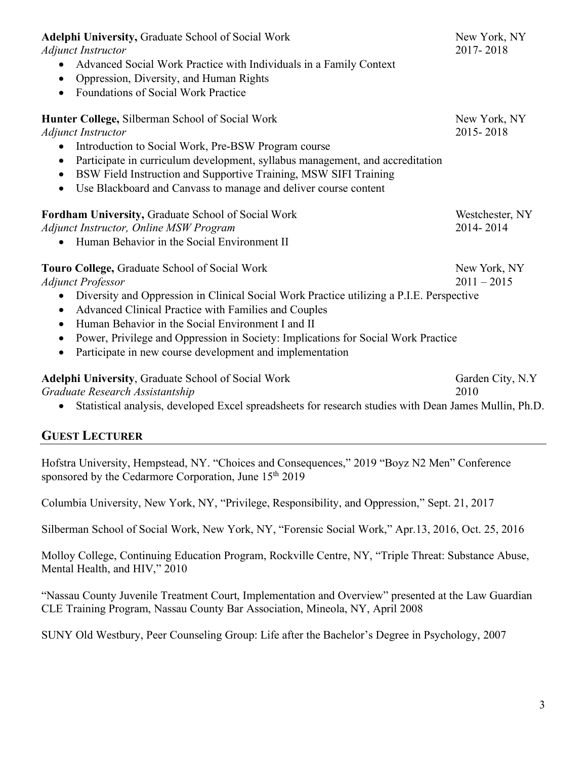| Adelphi University, Graduate School of Social Work<br><b>Adjunct Instructor</b><br>Advanced Social Work Practice with Individuals in a Family Context<br>$\bullet$<br>Oppression, Diversity, and Human Rights<br>$\bullet$<br><b>Foundations of Social Work Practice</b><br>$\bullet$                                                                                                                                                                                                                | New York, NY<br>2017-2018     |
|------------------------------------------------------------------------------------------------------------------------------------------------------------------------------------------------------------------------------------------------------------------------------------------------------------------------------------------------------------------------------------------------------------------------------------------------------------------------------------------------------|-------------------------------|
| Hunter College, Silberman School of Social Work<br><b>Adjunct Instructor</b><br>Introduction to Social Work, Pre-BSW Program course<br>$\bullet$<br>Participate in curriculum development, syllabus management, and accreditation<br>$\bullet$<br>BSW Field Instruction and Supportive Training, MSW SIFI Training<br>$\bullet$<br>Use Blackboard and Canvass to manage and deliver course content<br>$\bullet$                                                                                      | New York, NY<br>2015-2018     |
| Fordham University, Graduate School of Social Work<br><b>Adjunct Instructor, Online MSW Program</b><br>Human Behavior in the Social Environment II                                                                                                                                                                                                                                                                                                                                                   | Westchester, NY<br>2014-2014  |
| Touro College, Graduate School of Social Work<br><b>Adjunct Professor</b><br>Diversity and Oppression in Clinical Social Work Practice utilizing a P.I.E. Perspective<br>$\bullet$<br>Advanced Clinical Practice with Families and Couples<br>$\bullet$<br>Human Behavior in the Social Environment I and II<br>$\bullet$<br>Power, Privilege and Oppression in Society: Implications for Social Work Practice<br>$\bullet$<br>Participate in new course development and implementation<br>$\bullet$ | New York, NY<br>$2011 - 2015$ |
| Adelphi University, Graduate School of Social Work<br>Graduate Research Assistantship<br>Statistical analysis, developed Excel spreadsheets for research studies with Dean James Mullin, Ph.D.                                                                                                                                                                                                                                                                                                       | Garden City, N.Y<br>2010      |

## **GUEST LECTURER**

Hofstra University, Hempstead, NY. "Choices and Consequences," 2019 "Boyz N2 Men" Conference sponsored by the Cedarmore Corporation, June 15<sup>th</sup> 2019

Columbia University, New York, NY, "Privilege, Responsibility, and Oppression," Sept. 21, 2017

Silberman School of Social Work, New York, NY, "Forensic Social Work," Apr.13, 2016, Oct. 25, 2016

Molloy College, Continuing Education Program, Rockville Centre, NY, "Triple Threat: Substance Abuse, Mental Health, and HIV," 2010

"Nassau County Juvenile Treatment Court, Implementation and Overview" presented at the Law Guardian CLE Training Program, Nassau County Bar Association, Mineola, NY, April 2008

SUNY Old Westbury, Peer Counseling Group: Life after the Bachelor's Degree in Psychology, 2007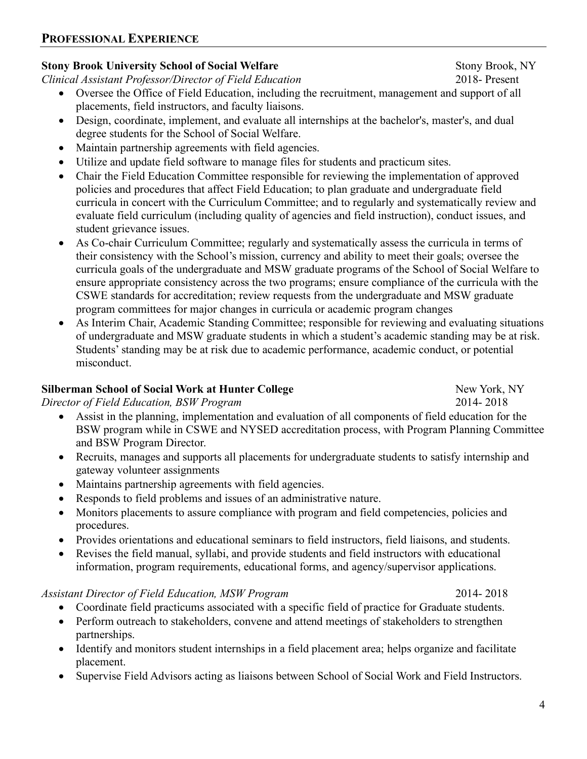### **PROFESSIONAL EXPERIENCE**

## **Stony Brook University School of Social Welfare** Stony Brook, NY

*Clinical Assistant Professor/Director of Field Education* 2018- Present

- Oversee the Office of Field Education, including the recruitment, management and support of all placements, field instructors, and faculty liaisons.
- Design, coordinate, implement, and evaluate all internships at the bachelor's, master's, and dual degree students for the School of Social Welfare.
- Maintain partnership agreements with field agencies.
- Utilize and update field software to manage files for students and practicum sites.
- Chair the Field Education Committee responsible for reviewing the implementation of approved policies and procedures that affect Field Education; to plan graduate and undergraduate field curricula in concert with the Curriculum Committee; and to regularly and systematically review and evaluate field curriculum (including quality of agencies and field instruction), conduct issues, and student grievance issues.
- As Co-chair Curriculum Committee; regularly and systematically assess the curricula in terms of their consistency with the School's mission, currency and ability to meet their goals; oversee the curricula goals of the undergraduate and MSW graduate programs of the School of Social Welfare to ensure appropriate consistency across the two programs; ensure compliance of the curricula with the CSWE standards for accreditation; review requests from the undergraduate and MSW graduate program committees for major changes in curricula or academic program changes
- As Interim Chair, Academic Standing Committee; responsible for reviewing and evaluating situations of undergraduate and MSW graduate students in which a student's academic standing may be at risk. Students' standing may be at risk due to academic performance, academic conduct, or potential misconduct.

## **Silberman School of Social Work at Hunter College New York, NY**

*Director of Field Education, BSW Program* 2014- 2018

- Assist in the planning, implementation and evaluation of all components of field education for the BSW program while in CSWE and NYSED accreditation process, with Program Planning Committee and BSW Program Director.
- Recruits, manages and supports all placements for undergraduate students to satisfy internship and gateway volunteer assignments
- Maintains partnership agreements with field agencies.
- Responds to field problems and issues of an administrative nature.
- Monitors placements to assure compliance with program and field competencies, policies and procedures.
- Provides orientations and educational seminars to field instructors, field liaisons, and students.
- Revises the field manual, syllabi, and provide students and field instructors with educational information, program requirements, educational forms, and agency/supervisor applications.

#### *Assistant Director of Field Education, MSW Program* 2014- 2018

- Coordinate field practicums associated with a specific field of practice for Graduate students.
- Perform outreach to stakeholders, convene and attend meetings of stakeholders to strengthen partnerships.
- Identify and monitors student internships in a field placement area; helps organize and facilitate placement.
- Supervise Field Advisors acting as liaisons between School of Social Work and Field Instructors.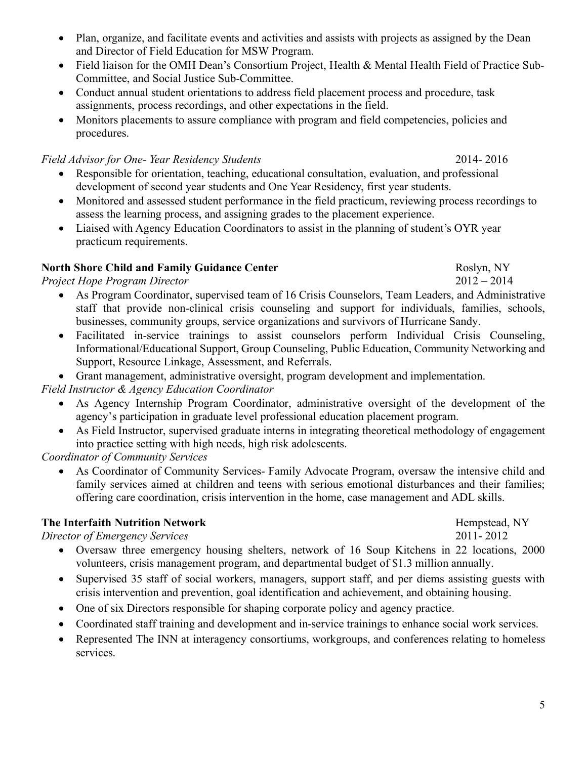• Plan, organize, and facilitate events and activities and assists with projects as assigned by the Dean and Director of Field Education for MSW Program.

• Field liaison for the OMH Dean's Consortium Project, Health & Mental Health Field of Practice Sub-Committee, and Social Justice Sub-Committee.

• Conduct annual student orientations to address field placement process and procedure, task assignments, process recordings, and other expectations in the field.

• Monitors placements to assure compliance with program and field competencies, policies and procedures.

## *Field Advisor for One- Year Residency Students* 2014- 2016

- Responsible for orientation, teaching, educational consultation, evaluation, and professional development of second year students and One Year Residency, first year students.
- Monitored and assessed student performance in the field practicum, reviewing process recordings to assess the learning process, and assigning grades to the placement experience.
- Liaised with Agency Education Coordinators to assist in the planning of student's OYR year practicum requirements.

## **North Shore Child and Family Guidance Center Roslyn, NY** Roslyn, NY

*Project Hope Program Director* 2012 – 2014

- As Program Coordinator, supervised team of 16 Crisis Counselors, Team Leaders, and Administrative staff that provide non-clinical crisis counseling and support for individuals, families, schools, businesses, community groups, service organizations and survivors of Hurricane Sandy.
- Facilitated in-service trainings to assist counselors perform Individual Crisis Counseling, Informational/Educational Support, Group Counseling, Public Education, Community Networking and Support, Resource Linkage, Assessment, and Referrals.
- Grant management, administrative oversight, program development and implementation.

*Field Instructor & Agency Education Coordinator*

- As Agency Internship Program Coordinator, administrative oversight of the development of the agency's participation in graduate level professional education placement program.
- As Field Instructor, supervised graduate interns in integrating theoretical methodology of engagement into practice setting with high needs, high risk adolescents.

*Coordinator of Community Services*

• As Coordinator of Community Services- Family Advocate Program, oversaw the intensive child and family services aimed at children and teens with serious emotional disturbances and their families; offering care coordination, crisis intervention in the home, case management and ADL skills.

## **The Interfaith Nutrition Network Hempstead, NY**

*Director of Emergency Services* 2011- 2012

- Oversaw three emergency housing shelters, network of 16 Soup Kitchens in 22 locations, 2000 volunteers, crisis management program, and departmental budget of \$1.3 million annually.
- Supervised 35 staff of social workers, managers, support staff, and per diems assisting guests with crisis intervention and prevention, goal identification and achievement, and obtaining housing.
- One of six Directors responsible for shaping corporate policy and agency practice.
- Coordinated staff training and development and in-service trainings to enhance social work services.
- Represented The INN at interagency consortiums, workgroups, and conferences relating to homeless services.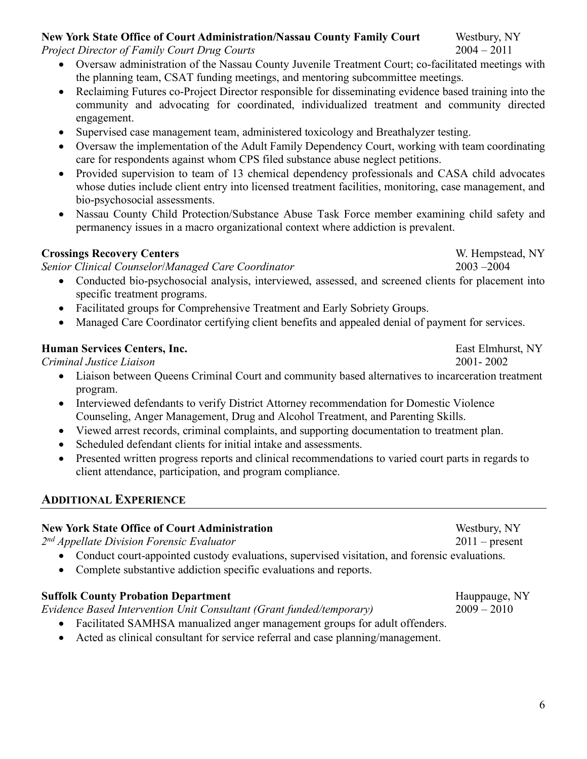## **New York State Office of Court Administration/Nassau County Family Court** Westbury, NY

*Project Director of Family Court Drug Courts* 2004 – 2011

- Oversaw administration of the Nassau County Juvenile Treatment Court; co-facilitated meetings with the planning team, CSAT funding meetings, and mentoring subcommittee meetings.
- Reclaiming Futures co-Project Director responsible for disseminating evidence based training into the community and advocating for coordinated, individualized treatment and community directed engagement.
- Supervised case management team, administered toxicology and Breathalyzer testing.
- Oversaw the implementation of the Adult Family Dependency Court, working with team coordinating care for respondents against whom CPS filed substance abuse neglect petitions.
- Provided supervision to team of 13 chemical dependency professionals and CASA child advocates whose duties include client entry into licensed treatment facilities, monitoring, case management, and bio-psychosocial assessments.
- Nassau County Child Protection/Substance Abuse Task Force member examining child safety and permanency issues in a macro organizational context where addiction is prevalent.

### **Crossings Recovery Centers** W. Hempstead, NY

*Senior Clinical Counselor*/*Managed Care Coordinator* 2003 –2004

- Conducted bio-psychosocial analysis, interviewed, assessed, and screened clients for placement into specific treatment programs.
- Facilitated groups for Comprehensive Treatment and Early Sobriety Groups.
- Managed Care Coordinator certifying client benefits and appealed denial of payment for services.

### **Human Services Centers, Inc.** East Elmhurst, NY

*Criminal Justice Liaison* 2001- 2002

- Liaison between Oueens Criminal Court and community based alternatives to incarceration treatment program.
- Interviewed defendants to verify District Attorney recommendation for Domestic Violence Counseling, Anger Management, Drug and Alcohol Treatment, and Parenting Skills.
- Viewed arrest records, criminal complaints, and supporting documentation to treatment plan.
- Scheduled defendant clients for initial intake and assessments.
- Presented written progress reports and clinical recommendations to varied court parts in regards to client attendance, participation, and program compliance.

## **ADDITIONAL EXPERIENCE**

## **New York State Office of Court Administration** Westbury, NY

*2nd Appellate Division Forensic Evaluator* 2011 – present

- Conduct court-appointed custody evaluations, supervised visitation, and forensic evaluations.
- Complete substantive addiction specific evaluations and reports.

## **Suffolk County Probation Department Hauppauge, NY**

*Evidence Based Intervention Unit Consultant (Grant funded/temporary)* 2009 – 2010

- Facilitated SAMHSA manualized anger management groups for adult offenders.
- Acted as clinical consultant for service referral and case planning/management.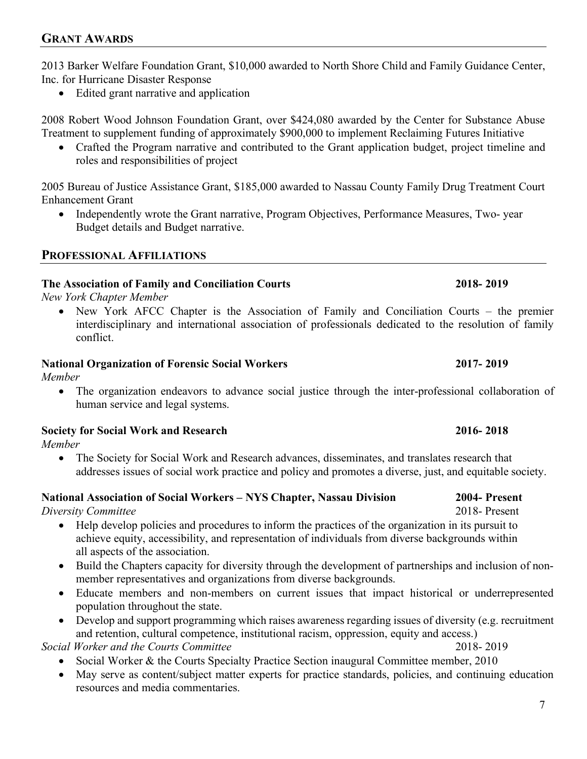2013 Barker Welfare Foundation Grant, \$10,000 awarded to North Shore Child and Family Guidance Center, Inc. for Hurricane Disaster Response

• Edited grant narrative and application

2008 Robert Wood Johnson Foundation Grant, over \$424,080 awarded by the Center for Substance Abuse Treatment to supplement funding of approximately \$900,000 to implement Reclaiming Futures Initiative

• Crafted the Program narrative and contributed to the Grant application budget, project timeline and roles and responsibilities of project

2005 Bureau of Justice Assistance Grant, \$185,000 awarded to Nassau County Family Drug Treatment Court Enhancement Grant

• Independently wrote the Grant narrative, Program Objectives, Performance Measures, Two- year Budget details and Budget narrative.

## **PROFESSIONAL AFFILIATIONS**

## **The Association of Family and Conciliation Courts 2018- 2019**

*New York Chapter Member*

• New York AFCC Chapter is the Association of Family and Conciliation Courts – the premier interdisciplinary and international association of professionals dedicated to the resolution of family conflict.

## **National Organization of Forensic Social Workers 2017- 2019**

*Member*

• The organization endeavors to advance social justice through the inter-professional collaboration of human service and legal systems.

## **Society for Social Work and Research 2016- 2018**

*Member*

• The Society for Social Work and Research advances, disseminates, and translates research that addresses issues of social work practice and policy and promotes a diverse, just, and equitable society.

## **National Association of Social Workers – NYS Chapter, Nassau Division 2004- Present**

*Diversity Committee* 2018- Present

- Help develop policies and procedures to inform the practices of the organization in its pursuit to achieve equity, accessibility, and representation of individuals from diverse backgrounds within all aspects of the association.
- Build the Chapters capacity for diversity through the development of partnerships and inclusion of nonmember representatives and organizations from diverse backgrounds.
- Educate members and non-members on current issues that impact historical or underrepresented population throughout the state.
- Develop and support programming which raises awareness regarding issues of diversity (e.g. recruitment and retention, cultural competence, institutional racism, oppression, equity and access.)

*Social Worker and the Courts Committee* 2018- 2019

- Social Worker & the Courts Specialty Practice Section inaugural Committee member, 2010
- May serve as content/subject matter experts for practice standards, policies, and continuing education resources and media commentaries.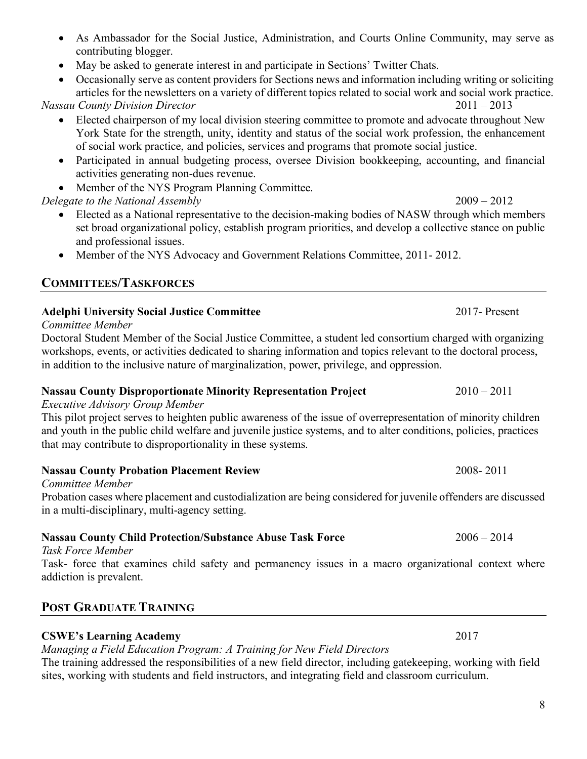#### • As Ambassador for the Social Justice, Administration, and Courts Online Community, may serve as contributing blogger.

- May be asked to generate interest in and participate in Sections' Twitter Chats.
- Occasionally serve as content providers for Sections news and information including writing or soliciting articles for the newsletters on a variety of different topics related to social work and social work practice.

*Nassau County Division Director* 2011 – 2013

- Elected chairperson of my local division steering committee to promote and advocate throughout New York State for the strength, unity, identity and status of the social work profession, the enhancement of social work practice, and policies, services and programs that promote social justice.
- Participated in annual budgeting process, oversee Division bookkeeping, accounting, and financial activities generating non-dues revenue.
- Member of the NYS Program Planning Committee.

## *Delegate to the National Assembly* 2009 – 2012

- Elected as a National representative to the decision-making bodies of NASW through which members set broad organizational policy, establish program priorities, and develop a collective stance on public and professional issues.
- Member of the NYS Advocacy and Government Relations Committee, 2011-2012.

## **COMMITTEES/TASKFORCES**

## **Adelphi University Social Justice Committee** 2017- Present

*Committee Member*

Doctoral Student Member of the Social Justice Committee, a student led consortium charged with organizing workshops, events, or activities dedicated to sharing information and topics relevant to the doctoral process, in addition to the inclusive nature of marginalization, power, privilege, and oppression.

## **Nassau County Disproportionate Minority Representation Project** 2010 – 2011

## *Executive Advisory Group Member*

This pilot project serves to heighten public awareness of the issue of overrepresentation of minority children and youth in the public child welfare and juvenile justice systems, and to alter conditions, policies, practices that may contribute to disproportionality in these systems.

## **Nassau County Probation Placement Review** 2008- 2011

*Committee Member*

Probation cases where placement and custodialization are being considered for juvenile offenders are discussed in a multi-disciplinary, multi-agency setting.

## **Nassau County Child Protection/Substance Abuse Task Force** 2006 – 2014

*Task Force Member*

Task- force that examines child safety and permanency issues in a macro organizational context where addiction is prevalent.

## **POST GRADUATE TRAINING**

## **CSWE's Learning Academy** 2017

*Managing a Field Education Program: A Training for New Field Directors*

The training addressed the responsibilities of a new field director, including gatekeeping, working with field sites, working with students and field instructors, and integrating field and classroom curriculum.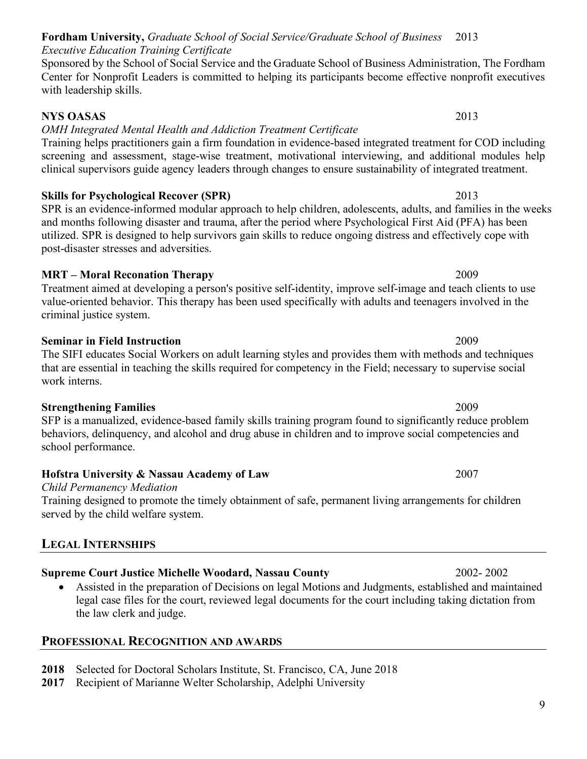#### **Fordham University,** *Graduate School of Social Service/Graduate School of Business* 2013 *Executive Education Training Certificate*

Sponsored by the School of Social Service and the Graduate School of Business Administration, The Fordham Center for Nonprofit Leaders is committed to helping its participants become effective nonprofit executives with leadership skills.

## **NYS OASAS** 2013

## *OMH Integrated Mental Health and Addiction Treatment Certificate*

Training helps practitioners gain a firm foundation in evidence-based integrated treatment for COD including screening and assessment, stage-wise treatment, motivational interviewing, and additional modules help clinical supervisors guide agency leaders through changes to ensure sustainability of integrated treatment.

## **Skills for Psychological Recover (SPR)** 2013

SPR is an evidence-informed modular approach to help children, adolescents, adults, and families in the weeks and months following disaster and trauma, after the period where Psychological First Aid (PFA) has been utilized. SPR is designed to help survivors gain skills to reduce ongoing distress and effectively cope with post-disaster stresses and adversities.

## **MRT – Moral Reconation Therapy** 2009

Treatment aimed at developing a person's positive self-identity, improve self-image and teach clients to use value-oriented behavior. This therapy has been used specifically with adults and teenagers involved in the criminal justice system.

### **Seminar in Field Instruction** 2009

## The SIFI educates Social Workers on adult learning styles and provides them with methods and techniques that are essential in teaching the skills required for competency in the Field; necessary to supervise social work interns.

**Strengthening Families** 2009 SFP is a manualized, evidence-based family skills training program found to significantly reduce problem behaviors, delinquency, and alcohol and drug abuse in children and to improve social competencies and school performance.

## **Hofstra University & Nassau Academy of Law** 2007

## *Child Permanency Mediation*

Training designed to promote the timely obtainment of safe, permanent living arrangements for children served by the child welfare system.

## **LEGAL INTERNSHIPS**

## **Supreme Court Justice Michelle Woodard, Nassau County** 2002- 2002

• Assisted in the preparation of Decisions on legal Motions and Judgments, established and maintained legal case files for the court, reviewed legal documents for the court including taking dictation from the law clerk and judge.

## **PROFESSIONAL RECOGNITION AND AWARDS**

- **2018** Selected for Doctoral Scholars Institute, St. Francisco, CA, June 2018
- **2017** Recipient of Marianne Welter Scholarship, Adelphi University